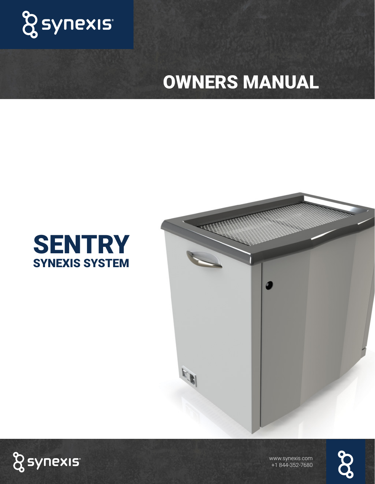

# OWNERS MANUAL







www.synexis.com<br>+1 844-352-7680 +1 844-352-7680 +1 844-352-7680

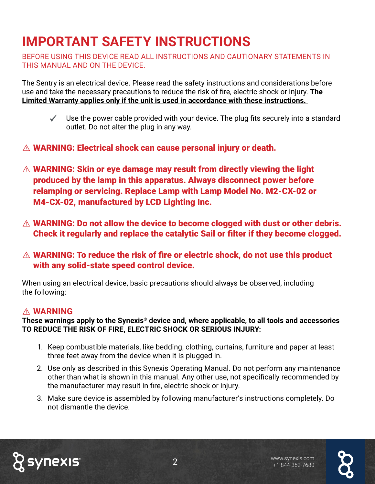### **IMPORTANT SAFETY INSTRUCTIONS**

#### BEFORE USING THIS DEVICE READ ALL INSTRUCTIONS AND CAUTIONARY STATEMENTS IN THIS MANUAL AND ON THE DEVICE.

The Sentry is an electrical device. Please read the safety instructions and considerations before use and take the necessary precautions to reduce the risk of fire, electric shock or injury. **The Limited Warranty applies only if the unit is used in accordance with these instructions.** 

- $\checkmark$  Use the power cable provided with your device. The plug fits securely into a standard outlet. Do not alter the plug in any way.
- ⚠ WARNING: Electrical shock can cause personal injury or death.
- ⚠ WARNING: Skin or eye damage may result from directly viewing the light produced by the lamp in this apparatus. Always disconnect power before relamping or servicing. Replace Lamp with Lamp Model No. M2-CX-02 or M4-CX-02, manufactured by LCD Lighting Inc.
- $\triangle$  WARNING: Do not allow the device to become clogged with dust or other debris. Check it regularly and replace the catalytic Sail or filter if they become clogged.
- $\triangle$  WARNING: To reduce the risk of fire or electric shock, do not use this product with any solid-state speed control device.

When using an electrical device, basic precautions should always be observed, including the following:

#### ⚠ **WARNING**

**These warnings apply to the Synexis® device and, where applicable, to all tools and accessories TO REDUCE THE RISK OF FIRE, ELECTRIC SHOCK OR SERIOUS INJURY:**

- 1. Keep combustible materials, like bedding, clothing, curtains, furniture and paper at least three feet away from the device when it is plugged in.
- 2. Use only as described in this Synexis Operating Manual. Do not perform any maintenance other than what is shown in this manual. Any other use, not specifically recommended by the manufacturer may result in fire, electric shock or injury.
- 3. Make sure device is assembled by following manufacturer's instructions completely. Do not dismantle the device.



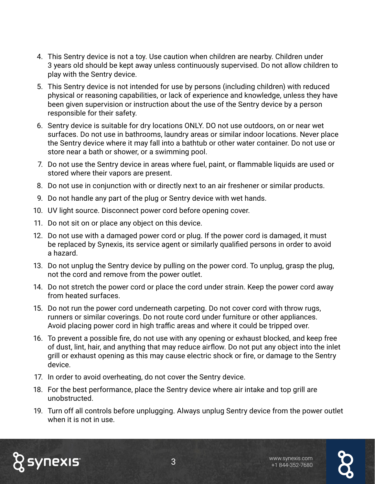- 4. This Sentry device is not a toy. Use caution when children are nearby. Children under 3 years old should be kept away unless continuously supervised. Do not allow children to play with the Sentry device.
- 5. This Sentry device is not intended for use by persons (including children) with reduced physical or reasoning capabilities, or lack of experience and knowledge, unless they have been given supervision or instruction about the use of the Sentry device by a person responsible for their safety.
- 6. Sentry device is suitable for dry locations ONLY. DO not use outdoors, on or near wet surfaces. Do not use in bathrooms, laundry areas or similar indoor locations. Never place the Sentry device where it may fall into a bathtub or other water container. Do not use or store near a bath or shower, or a swimming pool.
- 7. Do not use the Sentry device in areas where fuel, paint, or flammable liquids are used or stored where their vapors are present.
- 8. Do not use in conjunction with or directly next to an air freshener or similar products.
- 9. Do not handle any part of the plug or Sentry device with wet hands.
- 10. UV light source. Disconnect power cord before opening cover.
- 11. Do not sit on or place any object on this device.
- 12. Do not use with a damaged power cord or plug. If the power cord is damaged, it must be replaced by Synexis, its service agent or similarly qualified persons in order to avoid a hazard.
- 13. Do not unplug the Sentry device by pulling on the power cord. To unplug, grasp the plug, not the cord and remove from the power outlet.
- 14. Do not stretch the power cord or place the cord under strain. Keep the power cord away from heated surfaces.
- 15. Do not run the power cord underneath carpeting. Do not cover cord with throw rugs, runners or similar coverings. Do not route cord under furniture or other appliances. Avoid placing power cord in high traffic areas and where it could be tripped over.
- 16. To prevent a possible fire, do not use with any opening or exhaust blocked, and keep free of dust, lint, hair, and anything that may reduce airflow. Do not put any object into the inlet grill or exhaust opening as this may cause electric shock or fire, or damage to the Sentry device.
- 17. In order to avoid overheating, do not cover the Sentry device.
- 18. For the best performance, place the Sentry device where air intake and top grill are unobstructed.
- 19. Turn off all controls before unplugging. Always unplug Sentry device from the power outlet when it is not in use.



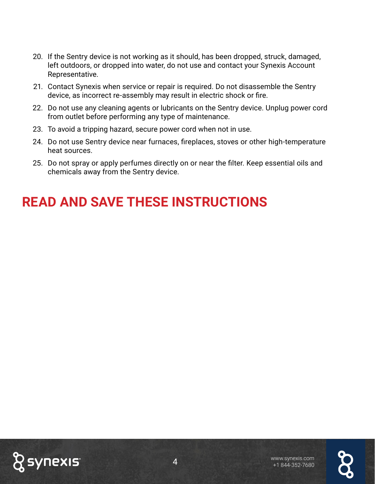- 20. If the Sentry device is not working as it should, has been dropped, struck, damaged, left outdoors, or dropped into water, do not use and contact your Synexis Account Representative.
- 21. Contact Synexis when service or repair is required. Do not disassemble the Sentry device, as incorrect re-assembly may result in electric shock or fire.
- 22. Do not use any cleaning agents or lubricants on the Sentry device. Unplug power cord from outlet before performing any type of maintenance.
- 23. To avoid a tripping hazard, secure power cord when not in use.
- 24. Do not use Sentry device near furnaces, fireplaces, stoves or other high-temperature heat sources.
- 25. Do not spray or apply perfumes directly on or near the filter. Keep essential oils and chemicals away from the Sentry device.

#### **READ AND SAVE THESE INSTRUCTIONS**



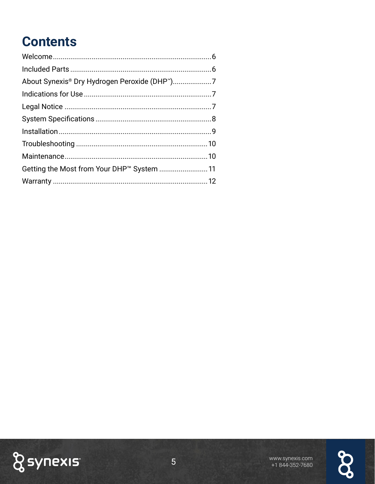## **Contents**



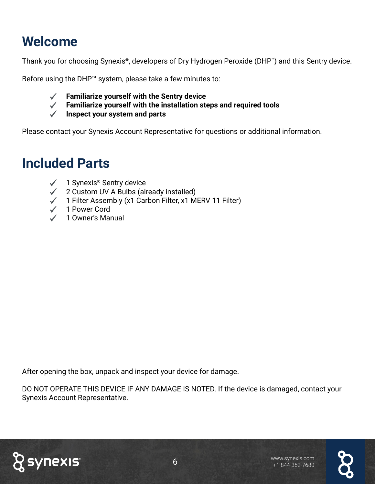### **Welcome**

Thank you for choosing Synexis®, developers of Dry Hydrogen Peroxide (DHP™) and this Sentry device.

Before using the DHP™ system, please take a few minutes to:

- ✔ **Familiarize yourself with the Sentry device**
- ✔ **Familiarize yourself with the installation steps and required tools**
- ✔ **Inspect your system and parts**

Please contact your Synexis Account Representative for questions or additional information.

#### **Included Parts**

- ✔ 1 Synexis® Sentry device
- $\checkmark$  2 Custom UV-A Bulbs (already installed)
- ✔ 1 Filter Assembly (x1 Carbon Filter, x1 MERV 11 Filter)
- ✔ 1 Power Cord
- ✔ 1 Owner's Manual

After opening the box, unpack and inspect your device for damage.

DO NOT OPERATE THIS DEVICE IF ANY DAMAGE IS NOTED. If the device is damaged, contact your Synexis Account Representative.



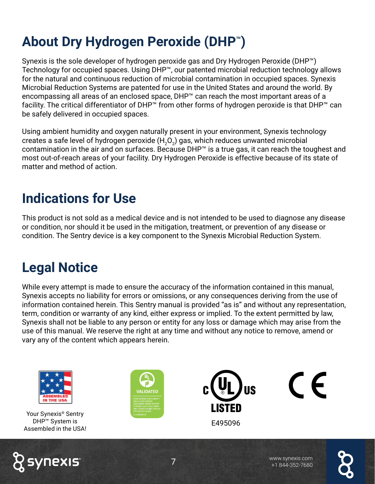## **About Dry Hydrogen Peroxide (DHP™)**

Synexis is the sole developer of hydrogen peroxide gas and Dry Hydrogen Peroxide (DHP™) Technology for occupied spaces. Using DHP™, our patented microbial reduction technology allows for the natural and continuous reduction of microbial contamination in occupied spaces. Synexis Microbial Reduction Systems are patented for use in the United States and around the world. By encompassing all areas of an enclosed space, DHP™ can reach the most important areas of a facility. The critical differentiator of DHP™ from other forms of hydrogen peroxide is that DHP™ can be safely delivered in occupied spaces.

Using ambient humidity and oxygen naturally present in your environment, Synexis technology creates a safe level of hydrogen peroxide (H $_{\rm 2}$ O $_{\rm 2}$ ) gas, which reduces unwanted microbial contamination in the air and on surfaces. Because DHP™ is a true gas, it can reach the toughest and most out-of-reach areas of your facility. Dry Hydrogen Peroxide is effective because of its state of matter and method of action.

### **Indications for Use**

This product is not sold as a medical device and is not intended to be used to diagnose any disease or condition, nor should it be used in the mitigation, treatment, or prevention of any disease or condition. The Sentry device is a key component to the Synexis Microbial Reduction System.

#### **Legal Notice**

While every attempt is made to ensure the accuracy of the information contained in this manual, Synexis accepts no liability for errors or omissions, or any consequences deriving from the use of information contained herein. This Sentry manual is provided "as is" and without any representation, term, condition or warranty of any kind, either express or implied. To the extent permitted by law, Synexis shall not be liable to any person or entity for any loss or damage which may arise from the use of this manual. We reserve the right at any time and without any notice to remove, amend or vary any of the content which appears herein.





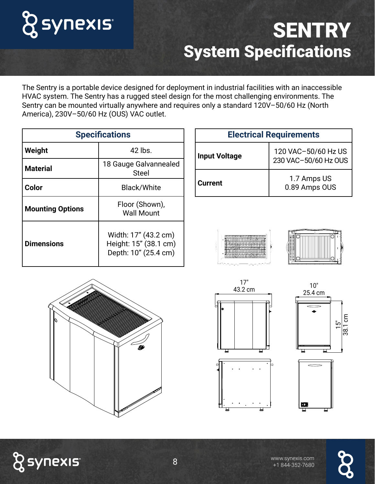

# **SENTRY** System Specifications

The Sentry is a portable device designed for deployment in industrial facilities with an inaccessible HVAC system. The Sentry has a rugged steel design for the most challenging environments. The Sentry can be mounted virtually anywhere and requires only a standard 120V–50/60 Hz (North America), 230V–50/60 Hz (OUS) VAC outlet.

| <b>Specifications</b>   |                                                                       |
|-------------------------|-----------------------------------------------------------------------|
| Weight                  | 42 lbs.                                                               |
| <b>Material</b>         | 18 Gauge Galvannealed<br><b>Steel</b>                                 |
| Color                   | <b>Black/White</b>                                                    |
| <b>Mounting Options</b> | Floor (Shown),<br><b>Wall Mount</b>                                   |
| <b>Dimensions</b>       | Width: 17" (43.2 cm)<br>Height: 15" (38.1 cm)<br>Depth: 10" (25.4 cm) |

| <b>Electrical Requirements</b> |                                             |  |
|--------------------------------|---------------------------------------------|--|
| <b>Input Voltage</b>           | 120 VAC-50/60 Hz US<br>230 VAC-50/60 Hz OUS |  |
| <b>Current</b>                 | 1.7 Amps US<br>0.89 Amps OUS                |  |







**ynexis** 









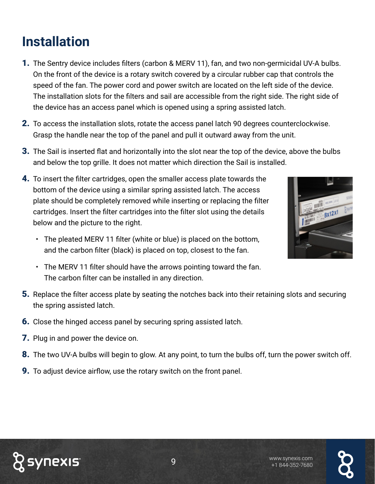

#### **Installation**

- **1.** The Sentry device includes filters (carbon & MERV 11), fan, and two non-germicidal UV-A bulbs. On the front of the device is a rotary switch covered by a circular rubber cap that controls the speed of the fan. The power cord and power switch are located on the left side of the device. The installation slots for the filters and sail are accessible from the right side. The right side of the device has an access panel which is opened using a spring assisted latch.
- **2.** To access the installation slots, rotate the access panel latch 90 degrees counterclockwise. Grasp the handle near the top of the panel and pull it outward away from the unit.
- **3.** The Sail is inserted flat and horizontally into the slot near the top of the device, above the bulbs and below the top grille. It does not matter which direction the Sail is installed.
- **4.** To insert the filter cartridges, open the smaller access plate towards the bottom of the device using a similar spring assisted latch. The access plate should be completely removed while inserting or replacing the filter cartridges. Insert the filter cartridges into the filter slot using the details below and the picture to the right.
	- The pleated MERV 11 filter (white or blue) is placed on the bottom, and the carbon filter (black) is placed on top, closest to the fan.
	- The MERV 11 filter should have the arrows pointing toward the fan. The carbon filter can be installed in any direction.
- **5.** Replace the filter access plate by seating the notches back into their retaining slots and securing the spring assisted latch.
- **6.** Close the hinged access panel by securing spring assisted latch.
- 7. Plug in and power the device on.
- **8.** The two UV-A bulbs will begin to glow. At any point, to turn the bulbs off, turn the power switch off.
- **9.** To adjust device airflow, use the rotary switch on the front panel.



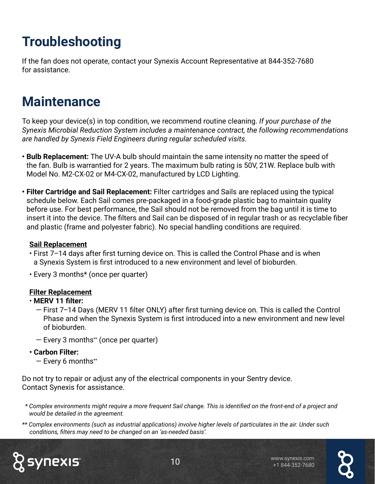### **Troubleshooting**

If the fan does not operate, contact your Synexis Account Representative at 844-352-7680 for assistance.

### **Maintenance**

To keep your device(s) in top condition, we recommend routine cleaning. *If your purchase of the Synexis Microbial Reduction System includes a maintenance contract, the following recommendations are handled by Synexis Field Engineers during regular scheduled visits.*

- **Bulb Replacement:** The UV-A bulb should maintain the same intensity no matter the speed of the fan. Bulb is warrantied for 2 years. The maximum bulb rating is 50V, 21W. Replace bulb with Model No. M2-CX-02 or M4-CX-02, manufactured by LCD Lighting.
- **Filter Cartridge and Sail Replacement:** Filter cartridges and Sails are replaced using the typical schedule below. Each Sail comes pre-packaged in a food-grade plastic bag to maintain quality before use. For best performance, the Sail should not be removed from the bag until it is time to insert it into the device. The filters and Sail can be disposed of in regular trash or as recyclable fiber and plastic (frame and polyester fabric). No special handling conditions are required.

#### **Sail Replacement**

- First 7–14 days after first turning device on. This is called the Control Phase and is when a Synexis System is first introduced to a new environment and level of bioburden.
- Every 3 months\* (once per quarter)

#### **Filter Replacement**

#### • **MERV 11 filter:**

- First 7–14 Days (MERV 11 filter ONLY) after first turning device on. This is called the Control Phase and when the Synexis System is first introduced into a new environment and new level of bioburden.
- Every 3 months\*\* (once per quarter)
- **Carbon Filter:**
	- $-$  Every 6 months\*\*

Do not try to repair or adjust any of the electrical components in your Sentry device. Contact Synexis for assistance.

- *\* Complex environments might require a more frequent Sail change. This is identified on the front-end of a project and would be detailed in the agreement.*
- *\*\* Complex environments (such as industrial applications) involve higher levels of particulates in the air. Under such conditions, filters may need to be changed on an 'as-needed basis'.*



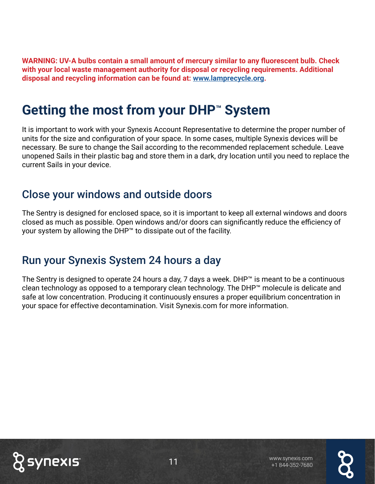**WARNING: UV-A bulbs contain a small amount of mercury similar to any fluorescent bulb. Check with your local waste management authority for disposal or recycling requirements. Additional disposal and recycling information can be found at: www.lamprecycle.org.**

#### **Getting the most from your DHP™ System**

It is important to work with your Synexis Account Representative to determine the proper number of units for the size and configuration of your space. In some cases, multiple Synexis devices will be necessary. Be sure to change the Sail according to the recommended replacement schedule. Leave unopened Sails in their plastic bag and store them in a dark, dry location until you need to replace the current Sails in your device.

#### Close your windows and outside doors

The Sentry is designed for enclosed space, so it is important to keep all external windows and doors closed as much as possible. Open windows and/or doors can significantly reduce the efficiency of your system by allowing the DHP™ to dissipate out of the facility.

#### Run your Synexis System 24 hours a day

The Sentry is designed to operate 24 hours a day, 7 days a week. DHP™ is meant to be a continuous clean technology as opposed to a temporary clean technology. The DHP™ molecule is delicate and safe at low concentration. Producing it continuously ensures a proper equilibrium concentration in your space for effective decontamination. Visit Synexis.com for more information.



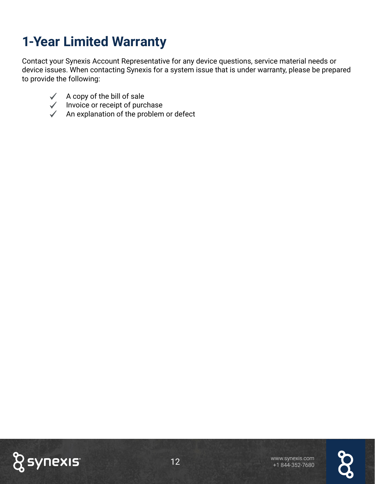### **1-Year Limited Warranty**

Contact your Synexis Account Representative for any device questions, service material needs or device issues. When contacting Synexis for a system issue that is under warranty, please be prepared to provide the following:

- $\checkmark$  A copy of the bill of sale<br> $\checkmark$  Invoice or receipt of purc
- Invoice or receipt of purchase
- $\checkmark$  An explanation of the problem or defect



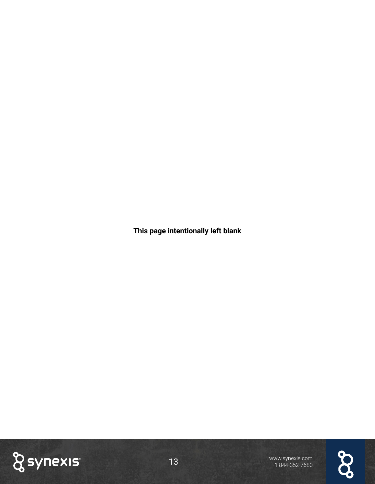**This page intentionally left blank**



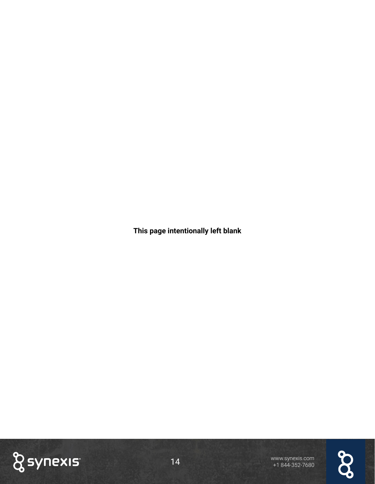**This page intentionally left blank**



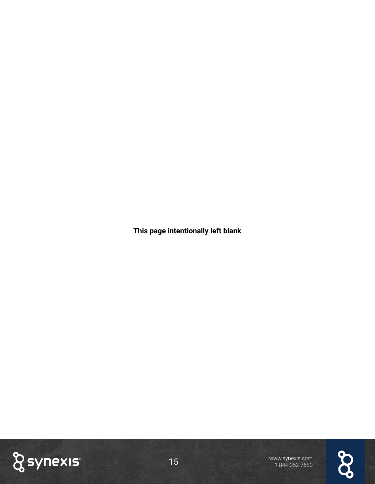**This page intentionally left blank**